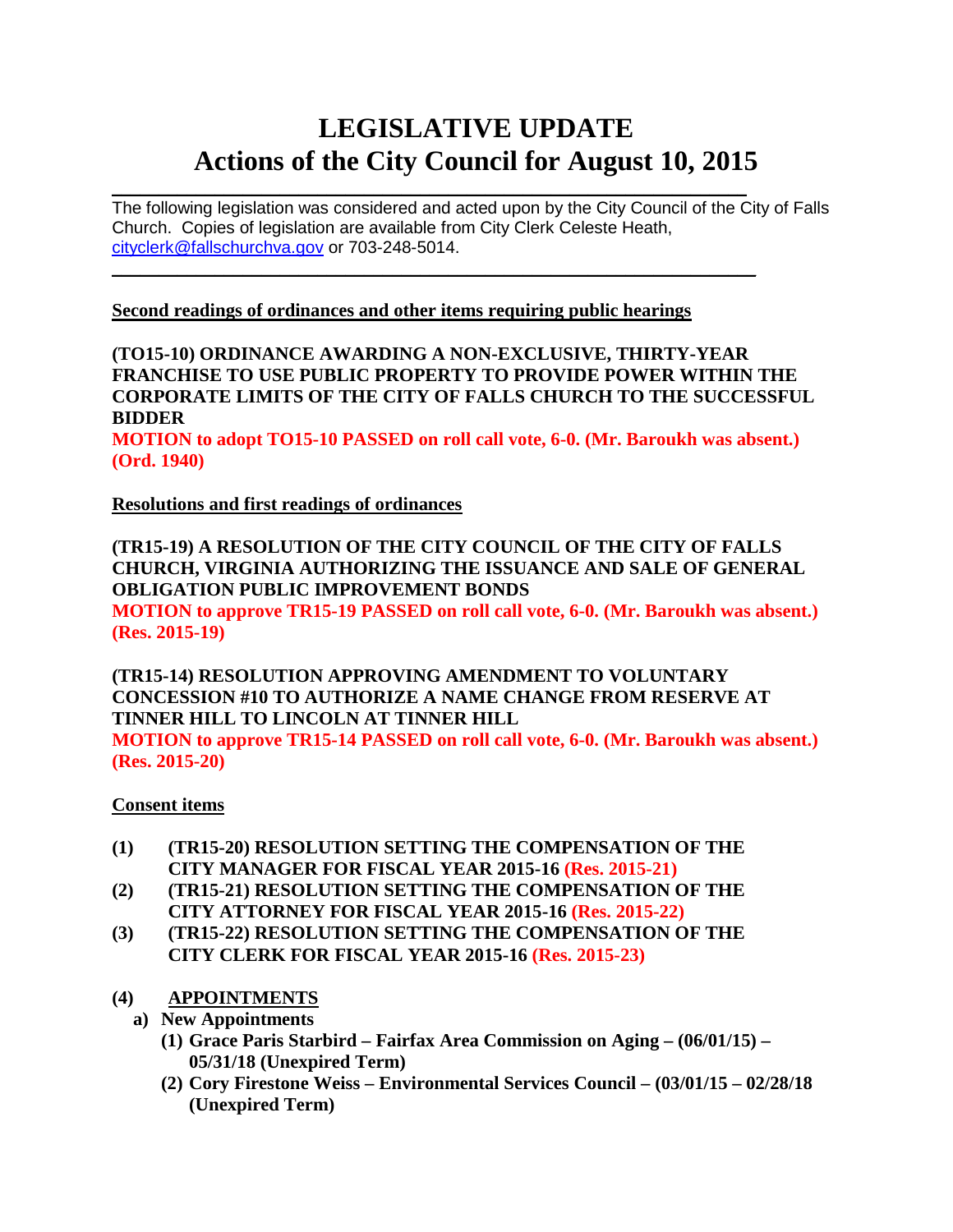# **LEGISLATIVE UPDATE Actions of the City Council for August 10, 2015**

 $\mathcal{L}_\text{max}$  and  $\mathcal{L}_\text{max}$  and  $\mathcal{L}_\text{max}$  and  $\mathcal{L}_\text{max}$  and  $\mathcal{L}_\text{max}$  and  $\mathcal{L}_\text{max}$ The following legislation was considered and acted upon by the City Council of the City of Falls Church. Copies of legislation are available from City Clerk Celeste Heath, [cityclerk@fallschurchva.gov](mailto:cityclerk@fallschurchva.gov) or 703-248-5014.

**Second readings of ordinances and other items requiring public hearings**

 $\mathcal{L}_\text{max}$  , and the contract of the contract of the contract of the contract of the contract of the contract of

**(TO15-10) ORDINANCE AWARDING A NON-EXCLUSIVE, THIRTY-YEAR FRANCHISE TO USE PUBLIC PROPERTY TO PROVIDE POWER WITHIN THE CORPORATE LIMITS OF THE CITY OF FALLS CHURCH TO THE SUCCESSFUL BIDDER**

**MOTION to adopt TO15-10 PASSED on roll call vote, 6-0. (Mr. Baroukh was absent.) (Ord. 1940)**

**Resolutions and first readings of ordinances**

**(TR15-19) A RESOLUTION OF THE CITY COUNCIL OF THE CITY OF FALLS CHURCH, VIRGINIA AUTHORIZING THE ISSUANCE AND SALE OF GENERAL OBLIGATION PUBLIC IMPROVEMENT BONDS MOTION to approve TR15-19 PASSED on roll call vote, 6-0. (Mr. Baroukh was absent.) (Res. 2015-19)**

**(TR15-14) RESOLUTION APPROVING AMENDMENT TO VOLUNTARY CONCESSION #10 TO AUTHORIZE A NAME CHANGE FROM RESERVE AT TINNER HILL TO LINCOLN AT TINNER HILL** 

**MOTION to approve TR15-14 PASSED on roll call vote, 6-0. (Mr. Baroukh was absent.) (Res. 2015-20)**

### **Consent items**

- **(1) (TR15-20) RESOLUTION SETTING THE COMPENSATION OF THE CITY MANAGER FOR FISCAL YEAR 2015-16 (Res. 2015-21)**
- **(2) (TR15-21) RESOLUTION SETTING THE COMPENSATION OF THE CITY ATTORNEY FOR FISCAL YEAR 2015-16 (Res. 2015-22)**
- **(3) (TR15-22) RESOLUTION SETTING THE COMPENSATION OF THE CITY CLERK FOR FISCAL YEAR 2015-16 (Res. 2015-23)**
- **(4) APPOINTMENTS**
	- **a) New Appointments** 
		- **(1) Grace Paris Starbird – Fairfax Area Commission on Aging – (06/01/15) – 05/31/18 (Unexpired Term)**
		- **(2) Cory Firestone Weiss – Environmental Services Council – (03/01/15 – 02/28/18 (Unexpired Term)**